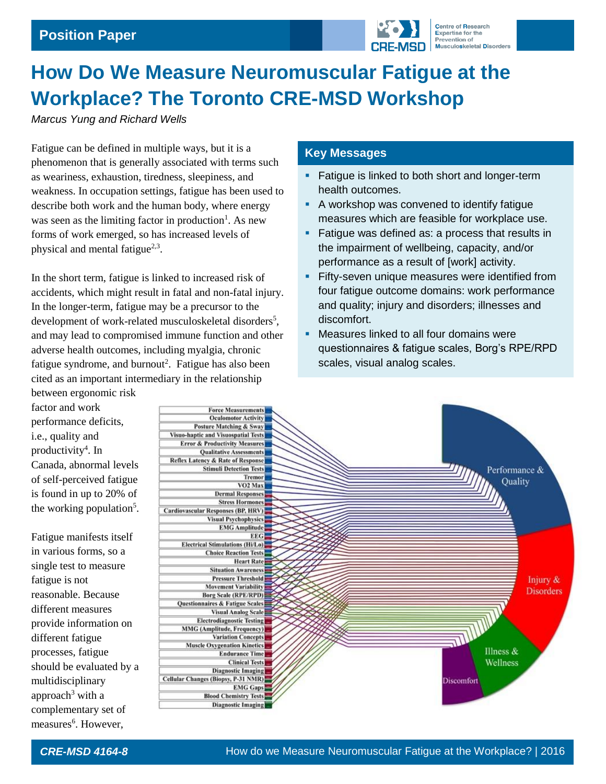

# **How Do We Measure Neuromuscular Fatigue at the Workplace? The Toronto CRE-MSD Workshop**

*Marcus Yung and Richard Wells*

Fatigue can be defined in multiple ways, but it is a phenomenon that is generally associated with terms such as weariness, exhaustion, tiredness, sleepiness, and weakness. In occupation settings, fatigue has been used to describe both work and the human body, where energy was seen as the limiting factor in production<sup>1</sup>. As new forms of work emerged, so has increased levels of physical and mental fatigue<sup>2,3</sup>.

In the short term, fatigue is linked to increased risk of accidents, which might result in fatal and non-fatal injury. In the longer-term, fatigue may be a precursor to the development of work-related musculoskeletal disorders<sup>5</sup>, and may lead to compromised immune function and other adverse health outcomes, including myalgia, chronic fatigue syndrome, and burnout<sup>2</sup>. Fatigue has also been cited as an important intermediary in the relationship

## **Key Messages**

- **Fatigue is linked to both short and longer-term** health outcomes.
- A workshop was convened to identify fatigue measures which are feasible for workplace use.
- Fatigue was defined as: a process that results in the impairment of wellbeing, capacity, and/or performance as a result of [work] activity.
- **Fifty-seven unique measures were identified from** four fatigue outcome domains: work performance and quality; injury and disorders; illnesses and discomfort.
- Measures linked to all four domains were questionnaires & fatigue scales, Borg's RPE/RPD scales, visual analog scales.



measures<sup>6</sup>. However,